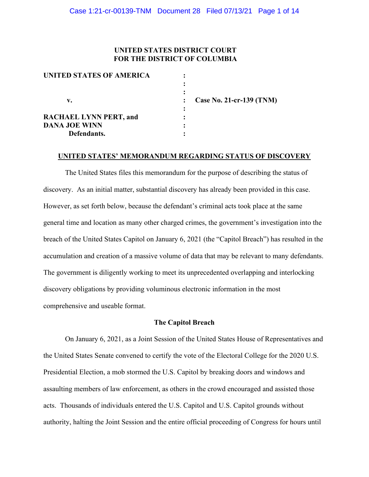## **UNITED STATES DISTRICT COURT FOR THE DISTRICT OF COLUMBIA**

| UNITED STATES OF AMERICA      |                     |
|-------------------------------|---------------------|
|                               |                     |
|                               |                     |
| v.                            | <b>Case No. 21-</b> |
|                               |                     |
| <b>RACHAEL LYNN PERT, and</b> |                     |
| <b>DANA JOE WINN</b>          |                     |
| Defendants.                   |                     |
|                               |                     |

 **v. : Case No. 21-cr-139 (TNM)**

#### **UNITED STATES' MEMORANDUM REGARDING STATUS OF DISCOVERY**

The United States files this memorandum for the purpose of describing the status of discovery. As an initial matter, substantial discovery has already been provided in this case. However, as set forth below, because the defendant's criminal acts took place at the same general time and location as many other charged crimes, the government's investigation into the breach of the United States Capitol on January 6, 2021 (the "Capitol Breach") has resulted in the accumulation and creation of a massive volume of data that may be relevant to many defendants. The government is diligently working to meet its unprecedented overlapping and interlocking discovery obligations by providing voluminous electronic information in the most comprehensive and useable format.

#### **The Capitol Breach**

On January 6, 2021, as a Joint Session of the United States House of Representatives and the United States Senate convened to certify the vote of the Electoral College for the 2020 U.S. Presidential Election, a mob stormed the U.S. Capitol by breaking doors and windows and assaulting members of law enforcement, as others in the crowd encouraged and assisted those acts. Thousands of individuals entered the U.S. Capitol and U.S. Capitol grounds without authority, halting the Joint Session and the entire official proceeding of Congress for hours until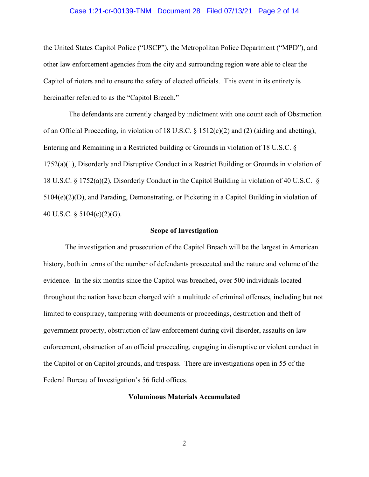#### Case 1:21-cr-00139-TNM Document 28 Filed 07/13/21 Page 2 of 14

the United States Capitol Police ("USCP"), the Metropolitan Police Department ("MPD"), and other law enforcement agencies from the city and surrounding region were able to clear the Capitol of rioters and to ensure the safety of elected officials. This event in its entirety is hereinafter referred to as the "Capitol Breach."

The defendants are currently charged by indictment with one count each of Obstruction of an Official Proceeding, in violation of 18 U.S.C.  $\S$  1512(c)(2) and (2) (aiding and abetting), Entering and Remaining in a Restricted building or Grounds in violation of 18 U.S.C. § 1752(a)(1), Disorderly and Disruptive Conduct in a Restrict Building or Grounds in violation of 18 U.S.C. § 1752(a)(2), Disorderly Conduct in the Capitol Building in violation of 40 U.S.C. § 5104(e)(2)(D), and Parading, Demonstrating, or Picketing in a Capitol Building in violation of 40 U.S.C. § 5104(e)(2)(G).

#### **Scope of Investigation**

The investigation and prosecution of the Capitol Breach will be the largest in American history, both in terms of the number of defendants prosecuted and the nature and volume of the evidence. In the six months since the Capitol was breached, over 500 individuals located throughout the nation have been charged with a multitude of criminal offenses, including but not limited to conspiracy, tampering with documents or proceedings, destruction and theft of government property, obstruction of law enforcement during civil disorder, assaults on law enforcement, obstruction of an official proceeding, engaging in disruptive or violent conduct in the Capitol or on Capitol grounds, and trespass. There are investigations open in 55 of the Federal Bureau of Investigation's 56 field offices.

## **Voluminous Materials Accumulated**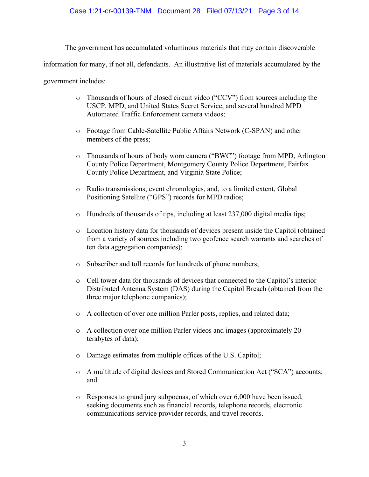## Case 1:21-cr-00139-TNM Document 28 Filed 07/13/21 Page 3 of 14

The government has accumulated voluminous materials that may contain discoverable information for many, if not all, defendants. An illustrative list of materials accumulated by the government includes:

- o Thousands of hours of closed circuit video ("CCV") from sources including the USCP, MPD, and United States Secret Service, and several hundred MPD Automated Traffic Enforcement camera videos;
- o Footage from Cable-Satellite Public Affairs Network (C-SPAN) and other members of the press;
- o Thousands of hours of body worn camera ("BWC") footage from MPD, Arlington County Police Department, Montgomery County Police Department, Fairfax County Police Department, and Virginia State Police;
- o Radio transmissions, event chronologies, and, to a limited extent, Global Positioning Satellite ("GPS") records for MPD radios;
- o Hundreds of thousands of tips, including at least 237,000 digital media tips;
- o Location history data for thousands of devices present inside the Capitol (obtained from a variety of sources including two geofence search warrants and searches of ten data aggregation companies);
- o Subscriber and toll records for hundreds of phone numbers;
- o Cell tower data for thousands of devices that connected to the Capitol's interior Distributed Antenna System (DAS) during the Capitol Breach (obtained from the three major telephone companies);
- o A collection of over one million Parler posts, replies, and related data;
- o A collection over one million Parler videos and images (approximately 20 terabytes of data);
- o Damage estimates from multiple offices of the U.S. Capitol;
- o A multitude of digital devices and Stored Communication Act ("SCA") accounts; and
- o Responses to grand jury subpoenas, of which over 6,000 have been issued, seeking documents such as financial records, telephone records, electronic communications service provider records, and travel records.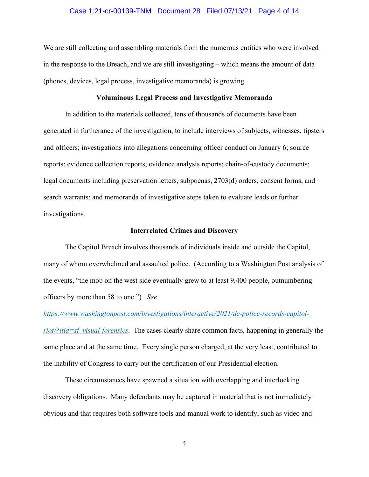#### Case 1:21-cr-00139-TNM Document 28 Filed 07/13/21 Page 4 of 14

We are still collecting and assembling materials from the numerous entities who were involved in the response to the Breach, and we are still investigating – which means the amount of data (phones, devices, legal process, investigative memoranda) is growing.

#### **Voluminous Legal Process and Investigative Memoranda**

In addition to the materials collected, tens of thousands of documents have been generated in furtherance of the investigation, to include interviews of subjects, witnesses, tipsters and officers; investigations into allegations concerning officer conduct on January 6; source reports; evidence collection reports; evidence analysis reports; chain-of-custody documents; legal documents including preservation letters, subpoenas, 2703(d) orders, consent forms, and search warrants; and memoranda of investigative steps taken to evaluate leads or further investigations.

#### **Interrelated Crimes and Discovery**

The Capitol Breach involves thousands of individuals inside and outside the Capitol, many of whom overwhelmed and assaulted police. (According to a Washington Post analysis of the events, "the mob on the west side eventually grew to at least 9,400 people, outnumbering officers by more than 58 to one.") *See* 

*https://www.washingtonpost.com/investigations/interactive/2021/dc-police-records-capitolriot/?itid=sf\_visual-forensics*. The cases clearly share common facts, happening in generally the same place and at the same time. Every single person charged, at the very least, contributed to the inability of Congress to carry out the certification of our Presidential election.

These circumstances have spawned a situation with overlapping and interlocking discovery obligations. Many defendants may be captured in material that is not immediately obvious and that requires both software tools and manual work to identify, such as video and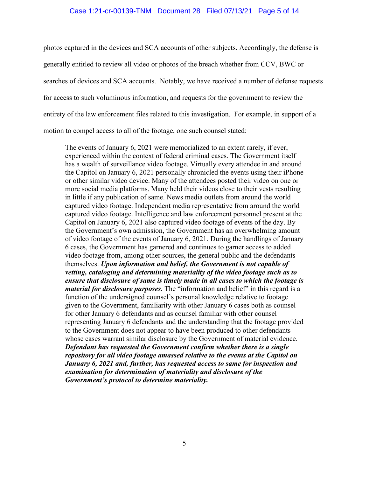## Case 1:21-cr-00139-TNM Document 28 Filed 07/13/21 Page 5 of 14

photos captured in the devices and SCA accounts of other subjects. Accordingly, the defense is generally entitled to review all video or photos of the breach whether from CCV, BWC or searches of devices and SCA accounts. Notably, we have received a number of defense requests for access to such voluminous information, and requests for the government to review the entirety of the law enforcement files related to this investigation. For example, in support of a motion to compel access to all of the footage, one such counsel stated:

The events of January 6, 2021 were memorialized to an extent rarely, if ever, experienced within the context of federal criminal cases. The Government itself has a wealth of surveillance video footage. Virtually every attendee in and around the Capitol on January 6, 2021 personally chronicled the events using their iPhone or other similar video device. Many of the attendees posted their video on one or more social media platforms. Many held their videos close to their vests resulting in little if any publication of same. News media outlets from around the world captured video footage. Independent media representative from around the world captured video footage. Intelligence and law enforcement personnel present at the Capitol on January 6, 2021 also captured video footage of events of the day. By the Government's own admission, the Government has an overwhelming amount of video footage of the events of January 6, 2021. During the handlings of January 6 cases, the Government has garnered and continues to garner access to added video footage from, among other sources, the general public and the defendants themselves. *Upon information and belief, the Government is not capable of vetting, cataloging and determining materiality of the video footage such as to ensure that disclosure of same is timely made in all cases to which the footage is material for disclosure purposes.* The "information and belief" in this regard is a function of the undersigned counsel's personal knowledge relative to footage given to the Government, familiarity with other January 6 cases both as counsel for other January 6 defendants and as counsel familiar with other counsel representing January 6 defendants and the understanding that the footage provided to the Government does not appear to have been produced to other defendants whose cases warrant similar disclosure by the Government of material evidence. *Defendant has requested the Government confirm whether there is a single repository for all video footage amassed relative to the events at the Capitol on January 6, 2021 and, further, has requested access to same for inspection and examination for determination of materiality and disclosure of the Government's protocol to determine materiality.*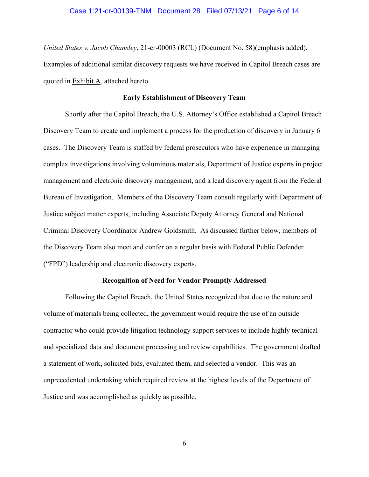*United States v. Jacob Chansley*, 21-cr-00003 (RCL) (Document No. 58)(emphasis added). Examples of additional similar discovery requests we have received in Capitol Breach cases are quoted in Exhibit A, attached hereto.

### **Early Establishment of Discovery Team**

Shortly after the Capitol Breach, the U.S. Attorney's Office established a Capitol Breach Discovery Team to create and implement a process for the production of discovery in January 6 cases. The Discovery Team is staffed by federal prosecutors who have experience in managing complex investigations involving voluminous materials, Department of Justice experts in project management and electronic discovery management, and a lead discovery agent from the Federal Bureau of Investigation. Members of the Discovery Team consult regularly with Department of Justice subject matter experts, including Associate Deputy Attorney General and National Criminal Discovery Coordinator Andrew Goldsmith. As discussed further below, members of the Discovery Team also meet and confer on a regular basis with Federal Public Defender ("FPD") leadership and electronic discovery experts.

#### **Recognition of Need for Vendor Promptly Addressed**

Following the Capitol Breach, the United States recognized that due to the nature and volume of materials being collected, the government would require the use of an outside contractor who could provide litigation technology support services to include highly technical and specialized data and document processing and review capabilities. The government drafted a statement of work, solicited bids, evaluated them, and selected a vendor. This was an unprecedented undertaking which required review at the highest levels of the Department of Justice and was accomplished as quickly as possible.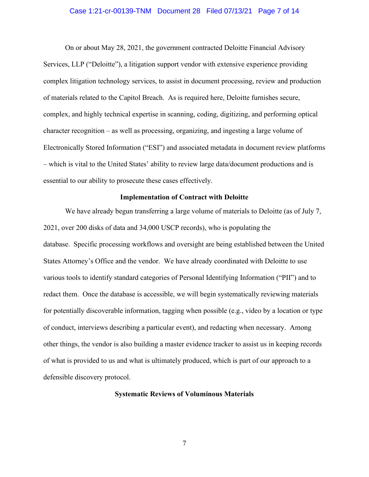#### Case 1:21-cr-00139-TNM Document 28 Filed 07/13/21 Page 7 of 14

On or about May 28, 2021, the government contracted Deloitte Financial Advisory Services, LLP ("Deloitte"), a litigation support vendor with extensive experience providing complex litigation technology services, to assist in document processing, review and production of materials related to the Capitol Breach. As is required here, Deloitte furnishes secure, complex, and highly technical expertise in scanning, coding, digitizing, and performing optical character recognition – as well as processing, organizing, and ingesting a large volume of Electronically Stored Information ("ESI") and associated metadata in document review platforms – which is vital to the United States' ability to review large data/document productions and is essential to our ability to prosecute these cases effectively.

## **Implementation of Contract with Deloitte**

We have already begun transferring a large volume of materials to Deloitte (as of July 7, 2021, over 200 disks of data and 34,000 USCP records), who is populating the database. Specific processing workflows and oversight are being established between the United States Attorney's Office and the vendor. We have already coordinated with Deloitte to use various tools to identify standard categories of Personal Identifying Information ("PII") and to redact them. Once the database is accessible, we will begin systematically reviewing materials for potentially discoverable information, tagging when possible (e.g., video by a location or type of conduct, interviews describing a particular event), and redacting when necessary. Among other things, the vendor is also building a master evidence tracker to assist us in keeping records of what is provided to us and what is ultimately produced, which is part of our approach to a defensible discovery protocol.

### **Systematic Reviews of Voluminous Materials**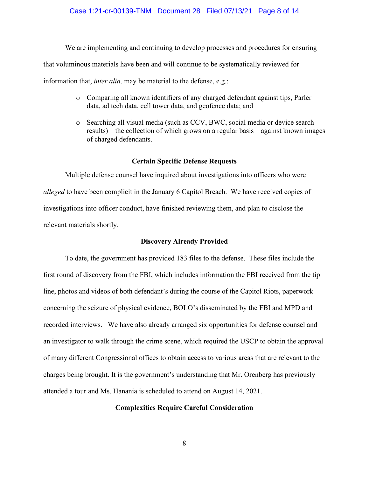### Case 1:21-cr-00139-TNM Document 28 Filed 07/13/21 Page 8 of 14

We are implementing and continuing to develop processes and procedures for ensuring that voluminous materials have been and will continue to be systematically reviewed for information that, *inter alia,* may be material to the defense, e.g.:

- o Comparing all known identifiers of any charged defendant against tips, Parler data, ad tech data, cell tower data, and geofence data; and
- o Searching all visual media (such as CCV, BWC, social media or device search results) – the collection of which grows on a regular basis – against known images of charged defendants.

## **Certain Specific Defense Requests**

Multiple defense counsel have inquired about investigations into officers who were *alleged* to have been complicit in the January 6 Capitol Breach. We have received copies of investigations into officer conduct, have finished reviewing them, and plan to disclose the relevant materials shortly.

## **Discovery Already Provided**

To date, the government has provided 183 files to the defense. These files include the first round of discovery from the FBI, which includes information the FBI received from the tip line, photos and videos of both defendant's during the course of the Capitol Riots, paperwork concerning the seizure of physical evidence, BOLO's disseminated by the FBI and MPD and recorded interviews. We have also already arranged six opportunities for defense counsel and an investigator to walk through the crime scene, which required the USCP to obtain the approval of many different Congressional offices to obtain access to various areas that are relevant to the charges being brought. It is the government's understanding that Mr. Orenberg has previously attended a tour and Ms. Hanania is scheduled to attend on August 14, 2021.

## **Complexities Require Careful Consideration**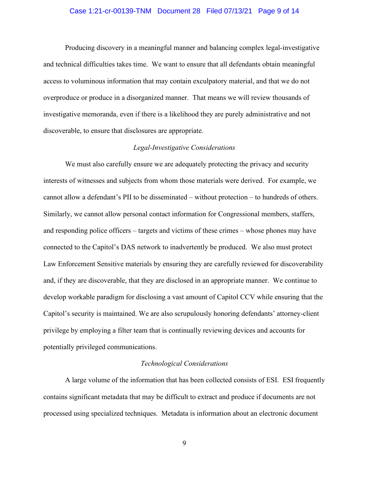### Case 1:21-cr-00139-TNM Document 28 Filed 07/13/21 Page 9 of 14

Producing discovery in a meaningful manner and balancing complex legal-investigative and technical difficulties takes time. We want to ensure that all defendants obtain meaningful access to voluminous information that may contain exculpatory material, and that we do not overproduce or produce in a disorganized manner. That means we will review thousands of investigative memoranda, even if there is a likelihood they are purely administrative and not discoverable, to ensure that disclosures are appropriate.

## *Legal-Investigative Considerations*

We must also carefully ensure we are adequately protecting the privacy and security interests of witnesses and subjects from whom those materials were derived. For example, we cannot allow a defendant's PII to be disseminated – without protection – to hundreds of others. Similarly, we cannot allow personal contact information for Congressional members, staffers, and responding police officers – targets and victims of these crimes – whose phones may have connected to the Capitol's DAS network to inadvertently be produced. We also must protect Law Enforcement Sensitive materials by ensuring they are carefully reviewed for discoverability and, if they are discoverable, that they are disclosed in an appropriate manner. We continue to develop workable paradigm for disclosing a vast amount of Capitol CCV while ensuring that the Capitol's security is maintained. We are also scrupulously honoring defendants' attorney-client privilege by employing a filter team that is continually reviewing devices and accounts for potentially privileged communications.

#### *Technological Considerations*

A large volume of the information that has been collected consists of ESI. ESI frequently contains significant metadata that may be difficult to extract and produce if documents are not processed using specialized techniques. Metadata is information about an electronic document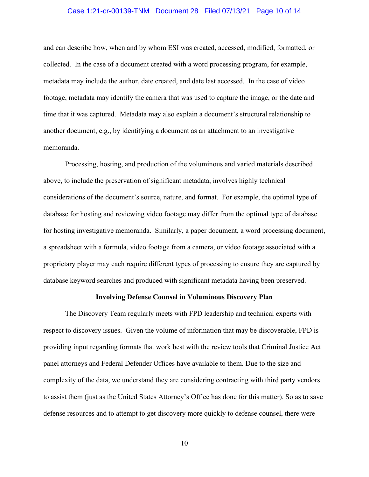## Case 1:21-cr-00139-TNM Document 28 Filed 07/13/21 Page 10 of 14

and can describe how, when and by whom ESI was created, accessed, modified, formatted, or collected. In the case of a document created with a word processing program, for example, metadata may include the author, date created, and date last accessed. In the case of video footage, metadata may identify the camera that was used to capture the image, or the date and time that it was captured. Metadata may also explain a document's structural relationship to another document, e.g., by identifying a document as an attachment to an investigative memoranda.

Processing, hosting, and production of the voluminous and varied materials described above, to include the preservation of significant metadata, involves highly technical considerations of the document's source, nature, and format. For example, the optimal type of database for hosting and reviewing video footage may differ from the optimal type of database for hosting investigative memoranda. Similarly, a paper document, a word processing document, a spreadsheet with a formula, video footage from a camera, or video footage associated with a proprietary player may each require different types of processing to ensure they are captured by database keyword searches and produced with significant metadata having been preserved.

#### **Involving Defense Counsel in Voluminous Discovery Plan**

The Discovery Team regularly meets with FPD leadership and technical experts with respect to discovery issues. Given the volume of information that may be discoverable, FPD is providing input regarding formats that work best with the review tools that Criminal Justice Act panel attorneys and Federal Defender Offices have available to them. Due to the size and complexity of the data, we understand they are considering contracting with third party vendors to assist them (just as the United States Attorney's Office has done for this matter). So as to save defense resources and to attempt to get discovery more quickly to defense counsel, there were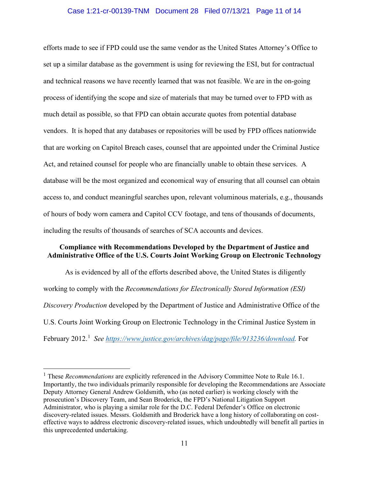## Case 1:21-cr-00139-TNM Document 28 Filed 07/13/21 Page 11 of 14

efforts made to see if FPD could use the same vendor as the United States Attorney's Office to set up a similar database as the government is using for reviewing the ESI, but for contractual and technical reasons we have recently learned that was not feasible. We are in the on-going process of identifying the scope and size of materials that may be turned over to FPD with as much detail as possible, so that FPD can obtain accurate quotes from potential database vendors. It is hoped that any databases or repositories will be used by FPD offices nationwide that are working on Capitol Breach cases, counsel that are appointed under the Criminal Justice Act, and retained counsel for people who are financially unable to obtain these services. A database will be the most organized and economical way of ensuring that all counsel can obtain access to, and conduct meaningful searches upon, relevant voluminous materials, e.g., thousands of hours of body worn camera and Capitol CCV footage, and tens of thousands of documents, including the results of thousands of searches of SCA accounts and devices.

## **Compliance with Recommendations Developed by the Department of Justice and Administrative Office of the U.S. Courts Joint Working Group on Electronic Technology**

As is evidenced by all of the efforts described above, the United States is diligently working to comply with the *Recommendations for Electronically Stored Information (ESI) Discovery Production* developed by the Department of Justice and Administrative Office of the U.S. Courts Joint Working Group on Electronic Technology in the Criminal Justice System in February 2012.<sup>1</sup> See https://www.justice.gov/archives/dag/page/file/913236/download. For

<sup>1</sup> These *Recommendations* are explicitly referenced in the Advisory Committee Note to Rule 16.1. Importantly, the two individuals primarily responsible for developing the Recommendations are Associate Deputy Attorney General Andrew Goldsmith, who (as noted earlier) is working closely with the prosecution's Discovery Team, and Sean Broderick, the FPD's National Litigation Support Administrator, who is playing a similar role for the D.C. Federal Defender's Office on electronic discovery-related issues. Messrs. Goldsmith and Broderick have a long history of collaborating on costeffective ways to address electronic discovery-related issues, which undoubtedly will benefit all parties in this unprecedented undertaking.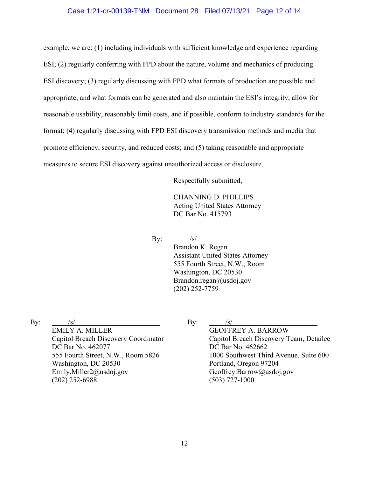## Case 1:21-cr-00139-TNM Document 28 Filed 07/13/21 Page 12 of 14

example, we are: (1) including individuals with sufficient knowledge and experience regarding ESI; (2) regularly conferring with FPD about the nature, volume and mechanics of producing ESI discovery; (3) regularly discussing with FPD what formats of production are possible and appropriate, and what formats can be generated and also maintain the ESI's integrity, allow for reasonable usability, reasonably limit costs, and if possible, conform to industry standards for the format; (4) regularly discussing with FPD ESI discovery transmission methods and media that promote efficiency, security, and reduced costs; and (5) taking reasonable and appropriate measures to secure ESI discovery against unauthorized access or disclosure.

Respectfully submitted,

CHANNING D. PHILLIPS Acting United States Attorney DC Bar No. 415793

By:  $/s/$ 

Brandon K. Regan Assistant United States Attorney 555 Fourth Street, N.W., Room Washington, DC 20530 Brandon.regan@usdoj.gov (202) 252-7759

By:  $/s/$ 

EMILY A. MILLER Capitol Breach Discovery Coordinator DC Bar No. 462077 555 Fourth Street, N.W., Room 5826 Washington, DC 20530 Emily.Miller2@usdoj.gov (202) 252-6988

By:  $/s/$ 

GEOFFREY A. BARROW Capitol Breach Discovery Team, Detailee DC Bar No. 462662 1000 Southwest Third Avenue, Suite 600 Portland, Oregon 97204 Geoffrey.Barrow@usdoj.gov (503) 727-1000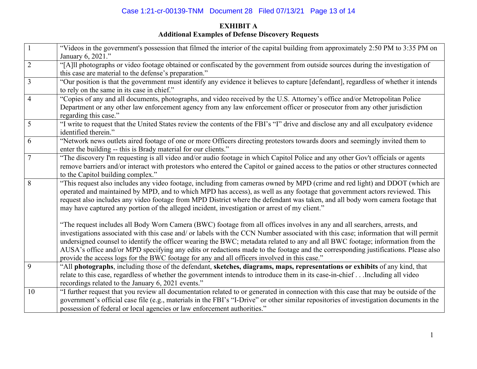# Case 1:21-cr-00139-TNM Document 28 Filed 07/13/21 Page 13 of 14

# **EXHIBIT A Additional Examples of Defense Discovery Requests**

|                | "Videos in the government's possession that filmed the interior of the capital building from approximately 2:50 PM to 3:35 PM on<br>January 6, 2021."                                                                                                                                                                                                                                                                                                                                                                                                                                                                                   |
|----------------|-----------------------------------------------------------------------------------------------------------------------------------------------------------------------------------------------------------------------------------------------------------------------------------------------------------------------------------------------------------------------------------------------------------------------------------------------------------------------------------------------------------------------------------------------------------------------------------------------------------------------------------------|
| $\overline{2}$ | "[A]ll photographs or video footage obtained or confiscated by the government from outside sources during the investigation of<br>this case are material to the defense's preparation."                                                                                                                                                                                                                                                                                                                                                                                                                                                 |
| $\overline{3}$ | "Our position is that the government must identify any evidence it believes to capture [defendant], regardless of whether it intends<br>to rely on the same in its case in chief."                                                                                                                                                                                                                                                                                                                                                                                                                                                      |
| $\overline{4}$ | "Copies of any and all documents, photographs, and video received by the U.S. Attorney's office and/or Metropolitan Police<br>Department or any other law enforcement agency from any law enforcement officer or prosecutor from any other jurisdiction<br>regarding this case."                                                                                                                                                                                                                                                                                                                                                        |
| 5              | "I write to request that the United States review the contents of the FBI's "I" drive and disclose any and all exculpatory evidence<br>identified therein."                                                                                                                                                                                                                                                                                                                                                                                                                                                                             |
| 6              | "Network news outlets aired footage of one or more Officers directing protestors towards doors and seemingly invited them to<br>enter the building -- this is Brady material for our clients."                                                                                                                                                                                                                                                                                                                                                                                                                                          |
| 7              | "The discovery I'm requesting is all video and/or audio footage in which Capitol Police and any other Gov't officials or agents<br>remove barriers and/or interact with protestors who entered the Capitol or gained access to the patios or other structures connected<br>to the Capitol building complex."                                                                                                                                                                                                                                                                                                                            |
| 8              | "This request also includes any video footage, including from cameras owned by MPD (crime and red light) and DDOT (which are<br>operated and maintained by MPD, and to which MPD has access), as well as any footage that government actors reviewed. This<br>request also includes any video footage from MPD District where the defendant was taken, and all body worn camera footage that<br>may have captured any portion of the alleged incident, investigation or arrest of my client."                                                                                                                                           |
|                | "The request includes all Body Worn Camera (BWC) footage from all offices involves in any and all searchers, arrests, and<br>investigations associated with this case and/ or labels with the CCN Number associated with this case; information that will permit<br>undersigned counsel to identify the officer wearing the BWC; metadata related to any and all BWC footage; information from the<br>AUSA's office and/or MPD specifying any edits or redactions made to the footage and the corresponding justifications. Please also<br>provide the access logs for the BWC footage for any and all officers involved in this case." |
| 9              | "All photographs, including those of the defendant, sketches, diagrams, maps, representations or exhibits of any kind, that<br>relate to this case, regardless of whether the government intends to introduce them in its case-in-chiefIncluding all video<br>recordings related to the January 6, 2021 events."                                                                                                                                                                                                                                                                                                                        |
| 10             | "I further request that you review all documentation related to or generated in connection with this case that may be outside of the<br>government's official case file (e.g., materials in the FBI's "I-Drive" or other similar repositories of investigation documents in the<br>possession of federal or local agencies or law enforcement authorities."                                                                                                                                                                                                                                                                             |